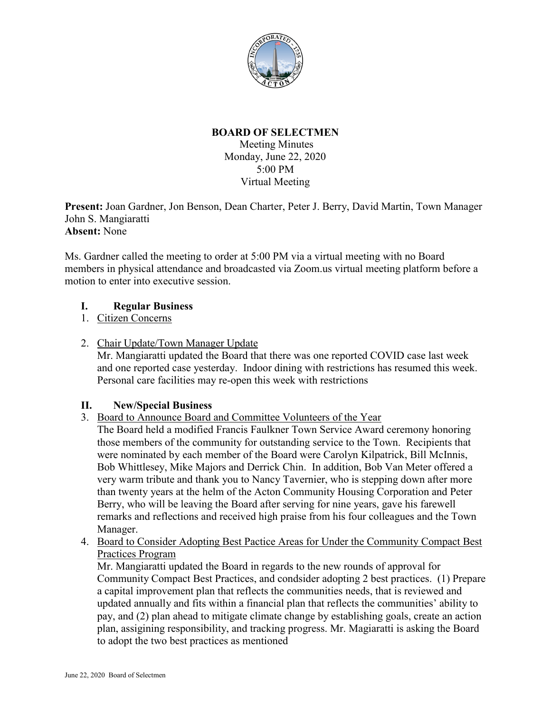

## **BOARD OF SELECTMEN**

Meeting Minutes Monday, June 22, 2020 5:00 PM Virtual Meeting

**Present:** Joan Gardner, Jon Benson, Dean Charter, Peter J. Berry, David Martin, Town Manager John S. Mangiaratti **Absent:** None

Ms. Gardner called the meeting to order at 5:00 PM via a virtual meeting with no Board members in physical attendance and broadcasted via Zoom.us virtual meeting platform before a motion to enter into executive session.

# **I. Regular Business**

1. Citizen Concerns

2. Chair Update/Town Manager Update

Mr. Mangiaratti updated the Board that there was one reported COVID case last week and one reported case yesterday. Indoor dining with restrictions has resumed this week. Personal care facilities may re-open this week with restrictions

## **II. New/Special Business**

3. Board to Announce Board and Committee Volunteers of the Year

The Board held a modified Francis Faulkner Town Service Award ceremony honoring those members of the community for outstanding service to the Town. Recipients that were nominated by each member of the Board were Carolyn Kilpatrick, Bill McInnis, Bob Whittlesey, Mike Majors and Derrick Chin. In addition, Bob Van Meter offered a very warm tribute and thank you to Nancy Tavernier, who is stepping down after more than twenty years at the helm of the Acton Community Housing Corporation and Peter Berry, who will be leaving the Board after serving for nine years, gave his farewell remarks and reflections and received high praise from his four colleagues and the Town Manager.

4. Board to Consider Adopting Best Pactice Areas for Under the Community Compact Best Practices Program

Mr. Mangiaratti updated the Board in regards to the new rounds of approval for Community Compact Best Practices, and condsider adopting 2 best practices. (1) Prepare a capital improvement plan that reflects the communities needs, that is reviewed and updated annually and fits within a financial plan that reflects the communities' ability to pay, and (2) plan ahead to mitigate climate change by establishing goals, create an action plan, assigining responsibility, and tracking progress. Mr. Magiaratti is asking the Board to adopt the two best practices as mentioned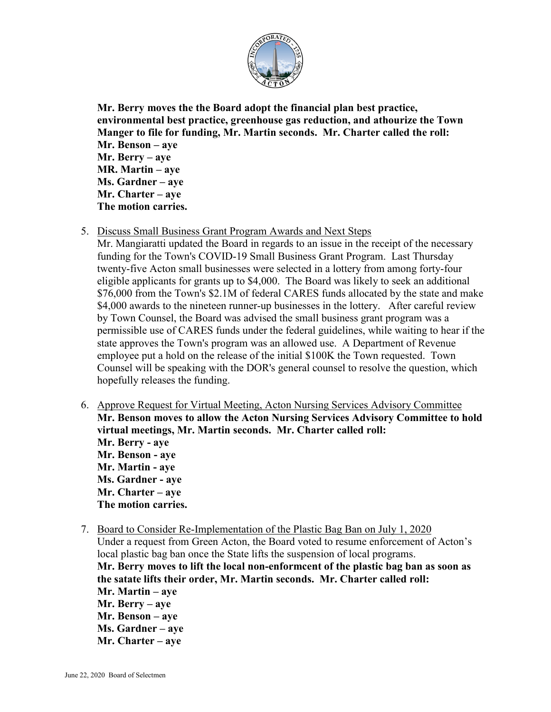

**Mr. Berry moves the the Board adopt the financial plan best practice, environmental best practice, greenhouse gas reduction, and athourize the Town Manger to file for funding, Mr. Martin seconds. Mr. Charter called the roll: Mr. Benson – aye Mr. Berry – aye MR. Martin – aye Ms. Gardner – aye Mr. Charter – aye The motion carries.**

5. Discuss Small Business Grant Program Awards and Next Steps

Mr. Mangiaratti updated the Board in regards to an issue in the receipt of the necessary funding for the Town's COVID-19 Small Business Grant Program. Last Thursday twenty-five Acton small businesses were selected in a lottery from among forty-four eligible applicants for grants up to \$4,000. The Board was likely to seek an additional \$76,000 from the Town's \$2.1M of federal CARES funds allocated by the state and make \$4,000 awards to the nineteen runner-up businesses in the lottery. After careful review by Town Counsel, the Board was advised the small business grant program was a permissible use of CARES funds under the federal guidelines, while waiting to hear if the state approves the Town's program was an allowed use. A Department of Revenue employee put a hold on the release of the initial \$100K the Town requested. Town Counsel will be speaking with the DOR's general counsel to resolve the question, which hopefully releases the funding.

- 6. Approve Request for Virtual Meeting, Acton Nursing Services Advisory Committee **Mr. Benson moves to allow the Acton Nursing Services Advisory Committee to hold virtual meetings, Mr. Martin seconds. Mr. Charter called roll: Mr. Berry - aye Mr. Benson - aye Mr. Martin - aye Ms. Gardner - aye Mr. Charter – aye The motion carries.**
- 7. Board to Consider Re-Implementation of the Plastic Bag Ban on July 1, 2020 Under a request from Green Acton, the Board voted to resume enforcement of Acton's local plastic bag ban once the State lifts the suspension of local programs. **Mr. Berry moves to lift the local non-enformcent of the plastic bag ban as soon as the satate lifts their order, Mr. Martin seconds. Mr. Charter called roll: Mr. Martin – aye Mr. Berry – aye Mr. Benson – aye Ms. Gardner – aye Mr. Charter – aye**